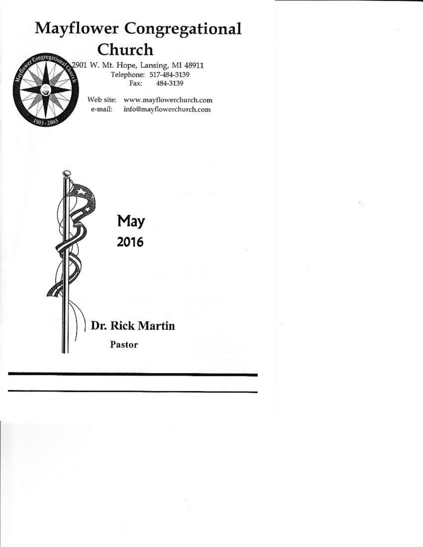# **Mayflower Congregational** Church

2901 W. Mt. Hope, Lansing, MI 48911 Telephone: 517-484-3139 484-3139 Fax:

> Web site: www.mayflowerchurch.com e-mail: info@mayflowerchurch.com

May 2016 Dr. Rick Martin Pastor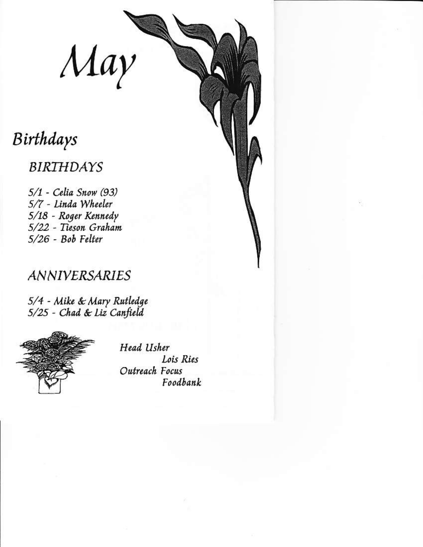$\mathcal{M}$ ay

## Birthdays

## BIRTHDAYS

5/1 - Celia Snow (93) 5/7 - Linda Wheeler 5/18 - Roger Kennedy 5/22 - Tieson Graham 5/26 - Bob Felter

## **ANNIVERSARIES**

5/4 - Mike & Mary Rutledge 5/25 - Chad & Liz Canfield



Head Usher Lois Ries Outreach Focus Foodbank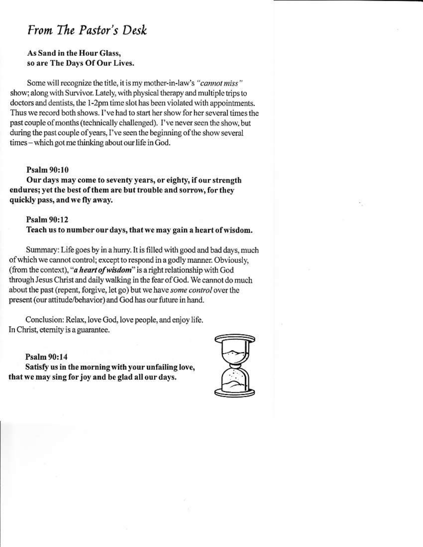### From The Pastor's Desk

#### As Sand in the Hour Glass, so are The Days Of Our Lives.

Some will recognize the title, it is my mother-in-law's "cannot miss" show; along with Survivor. Lately, with physical therapy and multiple trips to doctors and dentists, the 1-2pm time slot has been violated with appointments. Thus we record both shows. I've had to start her show for her several times the past couple of months (technically challenged). I've never seen the show, but during the past couple of years, I've seen the beginning of the show several times – which got me thinking about our life in God.

#### Psalm 90:10

Our days may come to seventy years, or eighty, if our strength endures; yet the best of them are but trouble and sorrow, for they quickly pass, and we fly away.

#### Psalm 90:12 Teach us to number our days, that we may gain a heart of wisdom.

Summary: Life goes by in a hurry. It is filled with good and bad days, much of which we cannot control; except to respond in a godly manner. Obviously, (from the context), "*a heart of wisdom*" is a right relationship with God through Jesus Christ and daily walking in the fear of God. We cannot do much about the past (repent, forgive, let go) but we have some control over the present (our attitude/behavior) and God has our future in hand.

Conclusion: Relax, love God, love people, and enjoy life. In Christ, eternity is a guarantee.

#### **Psalm 90:14**

Satisfy us in the morning with your unfailing love, that we may sing for joy and be glad all our days.

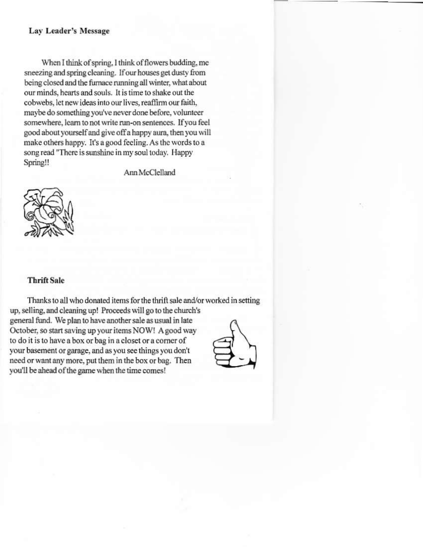#### Lay Leader's Message

When I think of spring, I think of flowers budding, me sneezing and spring cleaning. If our houses get dusty from being closed and the furnace running all winter, what about our minds, hearts and souls. It is time to shake out the cobwebs, let new ideas into our lives, reaffirm our faith, maybe do something you've never done before, volunteer somewhere, learn to not write run-on sentences. If you feel good about yourself and give off a happy aura, then you will make others happy. It's a good feeling. As the words to a song read "There is sunshine in my soul today. Happy Spring!!

Ann McClelland



#### **Thrift Sale**

Thanks to all who donated items for the thrift sale and/or worked in setting up, selling, and cleaning up! Proceeds will go to the church's general fund. We plan to have another sale as usual in late October, so start saving up your items NOW! A good way to do it is to have a box or bag in a closet or a corner of your basement or garage, and as you see things you don't need or want any more, put them in the box or bag. Then you'll be ahead of the game when the time comes!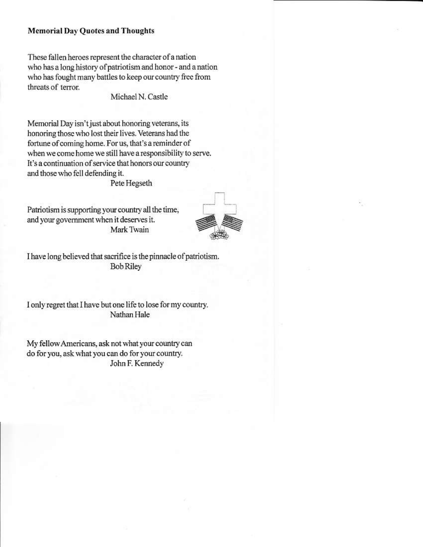#### **Memorial Day Quotes and Thoughts**

These fallen heroes represent the character of a nation who has a long history of patriotism and honor - and a nation who has fought many battles to keep our country free from threats of terror.

Michael N. Castle

Memorial Day isn't just about honoring veterans, its honoring those who lost their lives. Veterans had the fortune of coming home. For us, that's a reminder of when we come home we still have a responsibility to serve. It's a continuation of service that honors our country and those who fell defending it.

Pete Hegseth

Patriotism is supporting your country all the time, and your government when it deserves it. Mark Twain



I have long believed that sacrifice is the pinnacle of patriotism. **Bob Riley** 

I only regret that I have but one life to lose for my country. Nathan Hale

My fellow Americans, ask not what your country can do for you, ask what you can do for your country. John F. Kennedy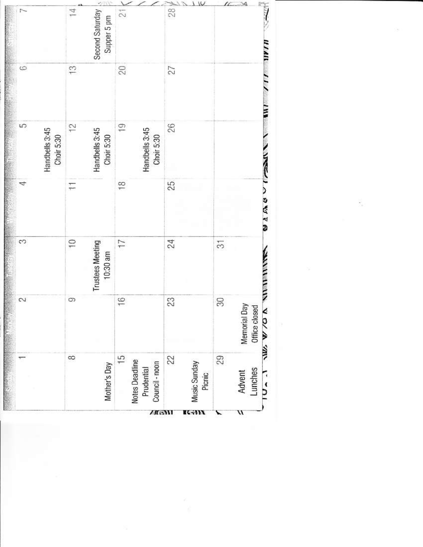|      |                                                                 | 2                                   | S                                                           | 4              | S<br>Handbells 3:45<br>Choir 5:30             | S             | r.                                   |
|------|-----------------------------------------------------------------|-------------------------------------|-------------------------------------------------------------|----------------|-----------------------------------------------|---------------|--------------------------------------|
|      | $\infty$<br>Mother's Day                                        | 9                                   | $\frac{1}{\sqrt{2}}$<br><b>Trustees Meeting</b><br>10:30 am | Ξ              | $\frac{1}{2}$<br>Handbells 3:45<br>Choir 5:30 | $\frac{1}{2}$ | 14<br>Second Saturday<br>Supper 5 pm |
| /KmM | $\frac{5}{5}$<br>Notes Deadline<br>Council - noon<br>Prudential | $\frac{6}{1}$                       | $\overline{17}$                                             | $\frac{8}{10}$ | $\frac{1}{2}$<br>Handbells 3:45<br>Choir 5:30 | $20\,$        | $\overline{\mathcal{L}}$             |
| KGON | 22<br>Music Sunday<br>Picnic                                    | 23                                  | 24                                                          | 25             | 26                                            | 27            | 28                                   |
| u    | 29<br>Lunches<br>Advent                                         | 80<br>Memorial Day<br>Office closed | $\overline{5}$                                              |                |                                               |               |                                      |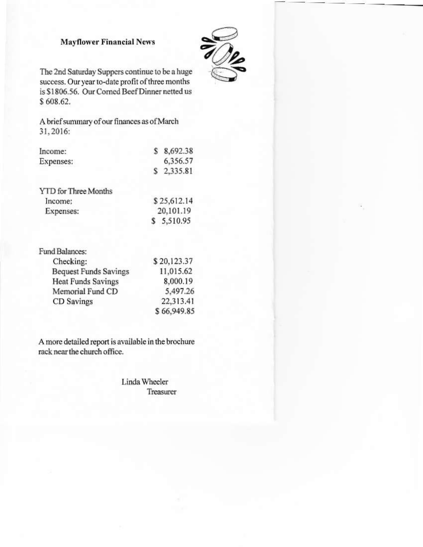#### **Mayflower Financial News**



The 2nd Saturday Suppers continue to be a huge success. Our year to-date profit of three months is \$1806.56. Our Corned Beef Dinner netted us \$608.62.

A brief summary of our finances as of March 31, 2016:

| Income:                     | 8,692.38<br>s |
|-----------------------------|---------------|
| Expenses:                   | 6,356.57      |
|                             | \$2,335.81    |
| <b>YTD</b> for Three Months |               |
| Income:                     | \$25,612.14   |
| Expenses <sup>.</sup>       | 20 101 19     |

| Fund Balances: |                              |             |
|----------------|------------------------------|-------------|
|                | Checking:                    | \$20,123.37 |
|                | <b>Bequest Funds Savings</b> | 11,015.62   |
|                | <b>Heat Funds Savings</b>    | 8,000.19    |
|                | Memorial Fund CD             | 5,497.26    |
|                | CD Savings                   | 22,313.41   |
|                |                              | \$66,949.8  |

A more detailed report is available in the brochure rack near the church office.

> Linda Wheeler Treasurer

 $$5,510.95$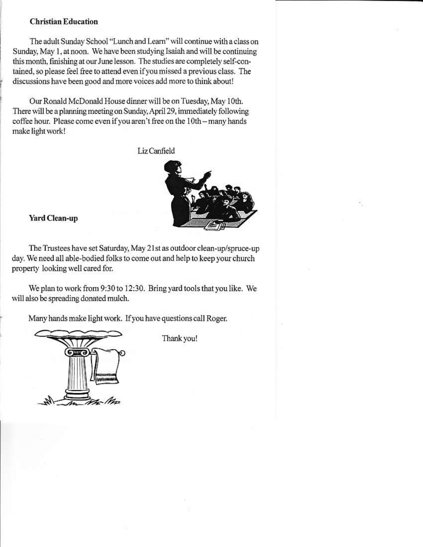#### **Christian Education**

The adult Sunday School "Lunch and Learn" will continue with a class on Sunday, May 1, at noon. We have been studying Isaiah and will be continuing this month, finishing at our June lesson. The studies are completely self-contained, so please feel free to attend even if you missed a previous class. The discussions have been good and more voices add more to think about!

Our Ronald McDonald House dinner will be on Tuesday, May 10th. There will be a planning meeting on Sunday, April 29, immediately following coffee hour. Please come even if you aren't free on the 10th - many hands make light work!

Liz Canfield



**Yard Clean-up** 

The Trustees have set Saturday, May 21st as outdoor clean-up/spruce-up day. We need all able-bodied folks to come out and help to keep your church property looking well cared for.

We plan to work from 9:30 to 12:30. Bring yard tools that you like. We will also be spreading donated mulch.

Many hands make light work. If you have questions call Roger.



Thank you!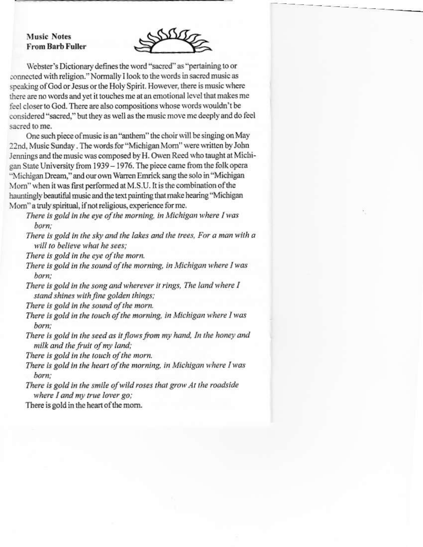#### **Music Notes From Barb Fuller**



Webster's Dictionary defines the word "sacred" as "pertaining to or connected with religion." Normally I look to the words in sacred music as speaking of God or Jesus or the Holy Spirit. However, there is music where there are no words and yet it touches me at an emotional level that makes me feel closer to God. There are also compositions whose words wouldn't be considered "sacred," but they as well as the music move me deeply and do feel sacred to me.

One such piece of music is an "anthem" the choir will be singing on May 22nd, Music Sunday. The words for "Michigan Morn" were written by John Jennings and the music was composed by H. Owen Reed who taught at Michigan State University from 1939 - 1976. The piece came from the folk opera "Michigan Dream," and our own Warren Emrick sang the solo in "Michigan Morn" when it was first performed at M.S.U. It is the combination of the hauntingly beautiful music and the text painting that make hearing "Michigan Morn" a truly spiritual, if not religious, experience for me.

- There is gold in the eye of the morning, in Michigan where I was born:
- There is gold in the sky and the lakes and the trees, For a man with a will to believe what he sees:
- There is gold in the eye of the morn.
- There is gold in the sound of the morning, in Michigan where I was born:
- There is gold in the song and wherever it rings, The land where I stand shines with fine golden things:
- There is gold in the sound of the morn.
- There is gold in the touch of the morning, in Michigan where I was born:
- There is gold in the seed as it flows from my hand, In the honey and milk and the fruit of my land;
- There is gold in the touch of the morn.
- There is gold in the heart of the morning, in Michigan where I was born:
- There is gold in the smile of wild roses that grow At the roadside where I and my true lover go;
- There is gold in the heart of the morn.